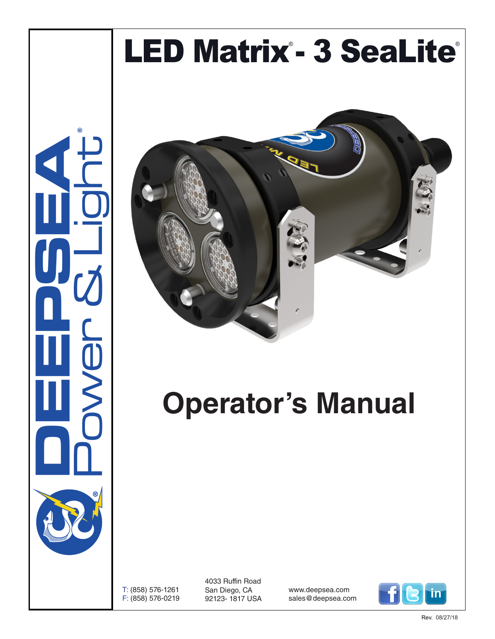# **LED Matrix - 3 SeaLite®**





# **Operator's Manual**

T: (858) 576-1261 F: (858) 576-0219 4033 Ruffin Road San Diego, CA 92123- 1817 USA

www.deepsea.com sales@deepsea.com

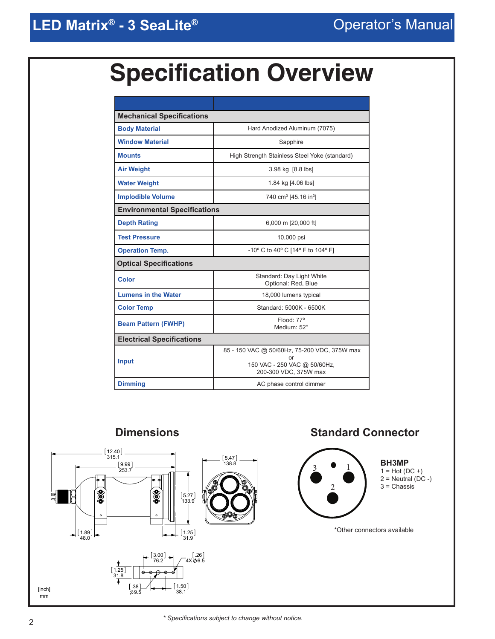# **Specification Overview**

| <b>Mechanical Specifications</b>    |                                                                                                             |  |  |
|-------------------------------------|-------------------------------------------------------------------------------------------------------------|--|--|
| <b>Body Material</b>                | Hard Anodized Aluminum (7075)                                                                               |  |  |
| <b>Window Material</b>              | Sapphire                                                                                                    |  |  |
| <b>Mounts</b>                       | High Strength Stainless Steel Yoke (standard)                                                               |  |  |
| <b>Air Weight</b>                   | 3.98 kg [8.8 lbs]                                                                                           |  |  |
| <b>Water Weight</b>                 | 1.84 kg [4.06 lbs]                                                                                          |  |  |
| <b>Implodible Volume</b>            | 740 cm <sup>3</sup> [45.16 in <sup>3</sup> ]                                                                |  |  |
| <b>Environmental Specifications</b> |                                                                                                             |  |  |
| <b>Depth Rating</b>                 | 6,000 m [20,000 ft]                                                                                         |  |  |
| <b>Test Pressure</b>                | 10,000 psi                                                                                                  |  |  |
| <b>Operation Temp.</b>              | -10° C to 40° C [14° F to 104° F]                                                                           |  |  |
| <b>Optical Specifications</b>       |                                                                                                             |  |  |
| Color                               | Standard: Day Light White<br>Optional: Red, Blue                                                            |  |  |
| <b>Lumens in the Water</b>          | 18,000 lumens typical                                                                                       |  |  |
| <b>Color Temp</b>                   | Standard: 5000K - 6500K                                                                                     |  |  |
| <b>Beam Pattern (FWHP)</b>          | Flood: 77°<br>Medium: 52°                                                                                   |  |  |
| <b>Electrical Specifications</b>    |                                                                                                             |  |  |
| <b>Input</b>                        | 85 - 150 VAC @ 50/60Hz, 75-200 VDC, 375W max<br>or<br>150 VAC - 250 VAC @ 50/60Hz,<br>200-300 VDC, 375W max |  |  |
| <b>Dimming</b>                      | AC phase control dimmer                                                                                     |  |  |

### **Dimensions Standard Connector**



*\* Specifications subject to change without notice*. 2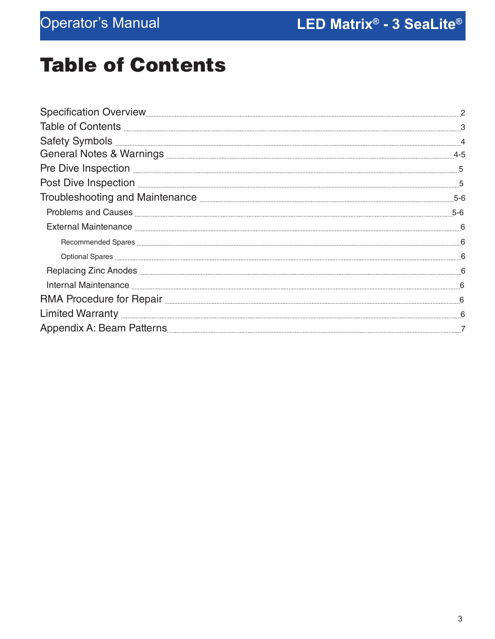# Table of Contents

|                                                          | $5 - 6$ |
|----------------------------------------------------------|---------|
| External Maintenance <b>External Maintenance</b> 2014.05 |         |
|                                                          |         |
|                                                          |         |
|                                                          |         |
|                                                          |         |
|                                                          |         |
|                                                          |         |
|                                                          |         |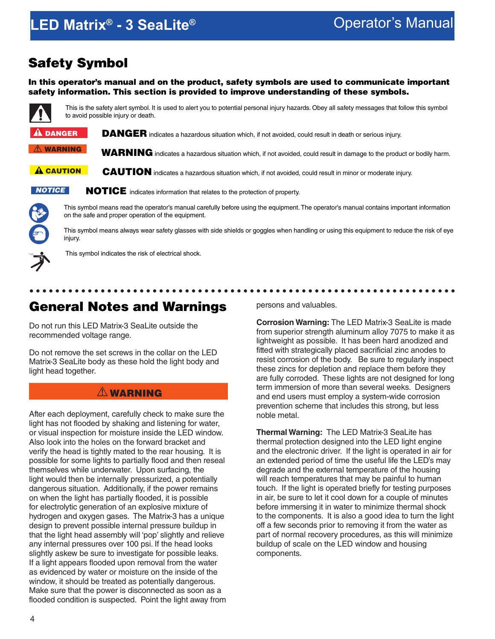# **LED Matrix® - 3 SeaLite®** All the Controllery operator's Manual

## Safety Symbol

In this operator's manual and on the product, safety symbols are used to communicate important safety information. This section is provided to improve understanding of these symbols.



This is the safety alert symbol. It is used to alert you to potential personal injury hazards. Obey all safety messages that follow this symbol to avoid possible injury or death.

DANGER indicates a hazardous situation which, if not avoided, could result in death or serious injury.  $\mathbf{\hat{a}}$  danger

WARNING indicates a hazardous situation which, if not avoided, could result in damage to the product or bodily harm.

CAUTION indicates a hazardous situation which, if not avoided, could result in minor or moderate injury. A CAUTION



**WARNING** 

NOTICE indicates information that relates to the protection of property.

This symbol means read the operator's manual carefully before using the equipment. The operator's manual contains important information on the safe and proper operation of the equipment.

This symbol means always wear safety glasses with side shields or goggles when handling or using this equipment to reduce the risk of eye injury.



This symbol indicates the risk of electrical shock.

### General Notes and Warnings

Do not run this LED Matrix-3 SeaLite outside the recommended voltage range.

Do not remove the set screws in the collar on the LED Matrix-3 SeaLite body as these hold the light body and light head together.

#### WARNING

After each deployment, carefully check to make sure the light has not flooded by shaking and listening for water, or visual inspection for moisture inside the LED window. Also look into the holes on the forward bracket and verify the head is tightly mated to the rear housing. It is possible for some lights to partially flood and then reseal themselves while underwater. Upon surfacing, the light would then be internally pressurized, a potentially dangerous situation. Additionally, if the power remains on when the light has partially flooded, it is possible for electrolytic generation of an explosive mixture of hydrogen and oxygen gases. The Matrix-3 has a unique design to prevent possible internal pressure buildup in that the light head assembly will 'pop' slightly and relieve any internal pressures over 100 psi. If the head looks slightly askew be sure to investigate for possible leaks. If a light appears flooded upon removal from the water as evidenced by water or moisture on the inside of the window, it should be treated as potentially dangerous. Make sure that the power is disconnected as soon as a flooded condition is suspected. Point the light away from persons and valuables.

**Corrosion Warning:** The LED Matrix-3 SeaLite is made from superior strength aluminum alloy 7075 to make it as lightweight as possible. It has been hard anodized and fitted with strategically placed sacrificial zinc anodes to resist corrosion of the body. Be sure to regularly inspect these zincs for depletion and replace them before they are fully corroded. These lights are not designed for long term immersion of more than several weeks. Designers and end users must employ a system-wide corrosion prevention scheme that includes this strong, but less noble metal.

.....................

**Thermal Warning:** The LED Matrix-3 SeaLite has thermal protection designed into the LED light engine and the electronic driver. If the light is operated in air for an extended period of time the useful life the LED's may degrade and the external temperature of the housing will reach temperatures that may be painful to human touch. If the light is operated briefly for testing purposes in air, be sure to let it cool down for a couple of minutes before immersing it in water to minimize thermal shock to the components. It is also a good idea to turn the light off a few seconds prior to removing it from the water as part of normal recovery procedures, as this will minimize buildup of scale on the LED window and housing components.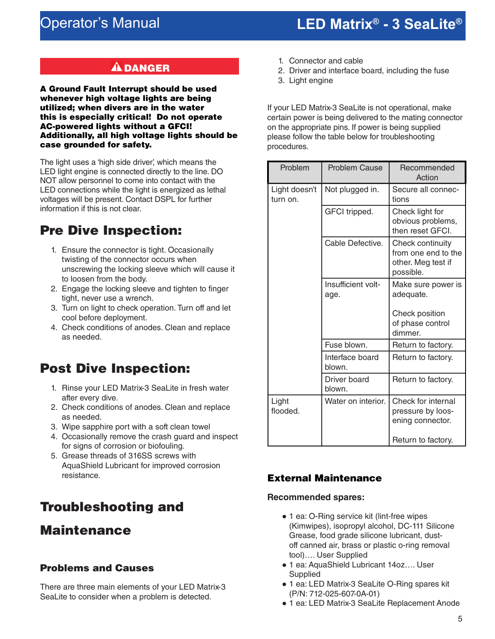# **LED Matrix® - 3 SeaLite** Operator's Manual **®**

#### **A DANGER**

#### A Ground Fault Interrupt should be used whenever high voltage lights are being utilized; when divers are in the water this is especially critical! Do not operate AC-powered lights without a GFCI! Additionally, all high voltage lights should be case grounded for safety.

The light uses a 'high side driver', which means the LED light engine is connected directly to the line. DO NOT allow personnel to come into contact with the LED connections while the light is energized as lethal voltages will be present. Contact DSPL for further information if this is not clear.

## Pre Dive Inspection:

- 1. Ensure the connector is tight. Occasionally twisting of the connector occurs when unscrewing the locking sleeve which will cause it to loosen from the body.
- 2. Engage the locking sleeve and tighten to finger tight, never use a wrench.
- 3. Turn on light to check operation. Turn off and let cool before deployment.
- 4. Check conditions of anodes. Clean and replace as needed.

# Post Dive Inspection:

- 1. Rinse your LED Matrix-3 SeaLite in fresh water after every dive.
- 2. Check conditions of anodes. Clean and replace as needed.
- 3. Wipe sapphire port with a soft clean towel
- 4. Occasionally remove the crash guard and inspect for signs of corrosion or biofouling.
- 5. Grease threads of 316SS screws with AquaShield Lubricant for improved corrosion resistance.

# Troubleshooting and

### **Maintenance**

#### Problems and Causes

There are three main elements of your LED Matrix-3 SeaLite to consider when a problem is detected.

- 1. Connector and cable
- 2. Driver and interface board, including the fuse
- 3. Light engine

If your LED Matrix-3 SeaLite is not operational, make certain power is being delivered to the mating connector on the appropriate pins. If power is being supplied please follow the table below for troubleshooting procedures.

| Problem                   | <b>Problem Cause</b>       | Recommended<br>Action                                                      |
|---------------------------|----------------------------|----------------------------------------------------------------------------|
| Light doesn't<br>turn on. | Not plugged in.            | Secure all connec-<br>tions                                                |
|                           | GFCI tripped.              | Check light for<br>obvious problems,<br>then reset GFCI.                   |
|                           | Cable Defective.           | Check continuity<br>from one end to the<br>other. Meg test if<br>possible. |
|                           | Insufficient volt-<br>age. | Make sure power is<br>adequate.                                            |
|                           |                            | Check position<br>of phase control<br>dimmer.                              |
|                           | Fuse blown.                | Return to factory.                                                         |
|                           | Interface board<br>blown.  | Return to factory.                                                         |
|                           | Driver board<br>blown.     | Return to factory.                                                         |
| Light<br>flooded.         | Water on interior.         | Check for internal<br>pressure by loos-<br>ening connector.                |
|                           |                            | Return to factory.                                                         |

#### External Maintenance

#### **Recommended spares:**

- 1 ea: O-Ring service kit (lint-free wipes (Kimwipes), isopropyl alcohol, DC-111 Silicone Grease, food grade silicone lubricant, dustoff canned air, brass or plastic o-ring removal tool)…. User Supplied
- 1 ea: AquaShield Lubricant 14oz…. User **Supplied**
- 1 ea: LED Matrix-3 SeaLite O-Ring spares kit (P/N: 712-025-607-0A-01)
- 1 ea: LED Matrix-3 SeaLite Replacement Anode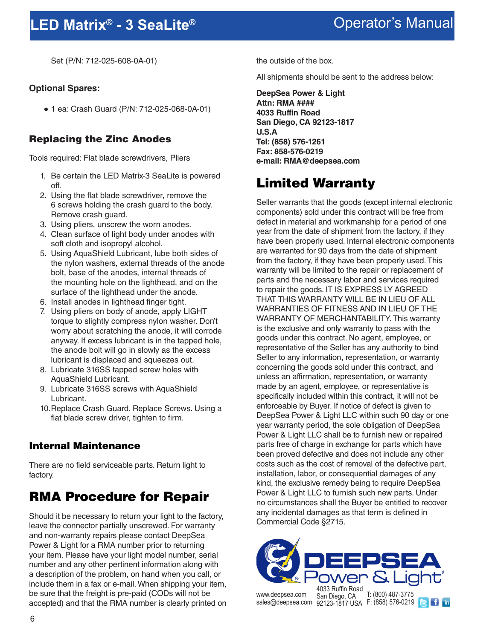Set (P/N: 712-025-608-0A-01)

#### **Optional Spares:**

● 1 ea: Crash Guard (P/N: 712-025-068-0A-01)

#### Replacing the Zinc Anodes

Tools required: Flat blade screwdrivers, Pliers

- 1. Be certain the LED Matrix-3 SeaLite is powered off.
- 2. Using the flat blade screwdriver, remove the 6 screws holding the crash guard to the body. Remove crash guard.
- 3. Using pliers, unscrew the worn anodes.
- 4. Clean surface of light body under anodes with soft cloth and isopropyl alcohol.
- 5. Using AquaShield Lubricant, lube both sides of the nylon washers, external threads of the anode bolt, base of the anodes, internal threads of the mounting hole on the lighthead, and on the surface of the lighthead under the anode.
- 6. Install anodes in lighthead finger tight.
- 7. Using pliers on body of anode, apply LIGHT torque to slightly compress nylon washer. Don't worry about scratching the anode, it will corrode anyway. If excess lubricant is in the tapped hole, the anode bolt will go in slowly as the excess lubricant is displaced and squeezes out.
- 8. Lubricate 316SS tapped screw holes with AquaShield Lubricant.
- 9. Lubricate 316SS screws with AquaShield Lubricant.
- 10.Replace Crash Guard. Replace Screws. Using a flat blade screw driver, tighten to firm.

#### Internal Maintenance

There are no field serviceable parts. Return light to factory.

## RMA Procedure for Repair

Should it be necessary to return your light to the factory, leave the connector partially unscrewed. For warranty and non-warranty repairs please contact DeepSea Power & Light for a RMA number prior to returning your item. Please have your light model number, serial number and any other pertinent information along with a description of the problem, on hand when you call, or include them in a fax or e-mail. When shipping your item, be sure that the freight is pre-paid (CODs will not be accepted) and that the RMA number is clearly printed on the outside of the box.

All shipments should be sent to the address below:

**DeepSea Power & Light Attn: RMA #### 4033 Ruffin Road San Diego, CA 92123-1817 U.S.A Tel: (858) 576-1261 Fax: 858-576-0219 e-mail: RMA@deepsea.com**

# Limited Warranty

Seller warrants that the goods (except internal electronic components) sold under this contract will be free from defect in material and workmanship for a period of one year from the date of shipment from the factory, if they have been properly used. Internal electronic components are warranted for 90 days from the date of shipment from the factory, if they have been properly used. This warranty will be limited to the repair or replacement of parts and the necessary labor and services required to repair the goods. IT IS EXPRESS LY AGREED THAT THIS WARRANTY WILL BE IN LIEU OF ALL WARRANTIES OF FITNESS AND IN LIEU OF THE WARRANTY OF MERCHANTABILITY. This warranty is the exclusive and only warranty to pass with the goods under this contract. No agent, employee, or representative of the Seller has any authority to bind Seller to any information, representation, or warranty concerning the goods sold under this contract, and unless an affirmation, representation, or warranty made by an agent, employee, or representative is specifically included within this contract, it will not be enforceable by Buyer. If notice of defect is given to DeepSea Power & Light LLC within such 90 day or one year warranty period, the sole obligation of DeepSea Power & Light LLC shall be to furnish new or repaired parts free of charge in exchange for parts which have been proved defective and does not include any other costs such as the cost of removal of the defective part, installation, labor, or consequential damages of any kind, the exclusive remedy being to require DeepSea Power & Light LLC to furnish such new parts. Under no circumstances shall the Buyer be entitled to recover any incidental damages as that term is defined in Commercial Code §2715.